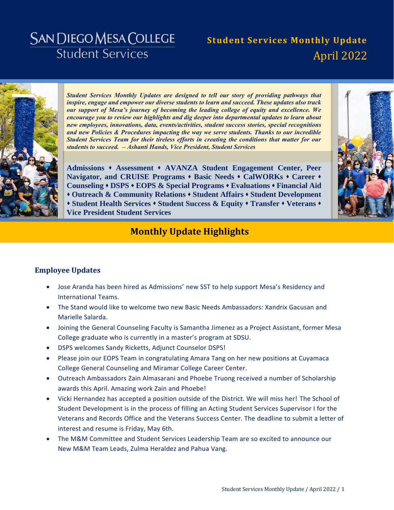# **SAN DIEGO MESA COLLEGE Student Services**

# **Student Services Monthly Update** April 2022



*Student Services Monthly Updates are designed to tell our story of providing pathways that inspire, engage and empower our diverse students to learn and succeed. These updates also track our support of Mesa's journey of becoming the leading college of equity and excellence. We encourage you to review our highlights and dig deeper into departmental updates to learn about new employees, innovations, data, events/activities, student success stories, special recognitions and new Policies & Procedures impacting the way we serve students. Thanks to our incredible Student Services Team for their tireless efforts in creating the conditions that matter for our students to succeed. – Ashanti Hands, Vice President, Student Services* 

**[Admissions](#page-3-0) [Assessment](#page-4-0) [AVANZA Student Engagement Center,](#page-5-0) [Peer](#page-5-1)**  [Navigator, and CRUISE Programs](#page-5-1)  $\cdot$  [Basic Needs](#page-6-0)  $\cdot$  [CalWORKs](#page-7-0)  $\cdot$  [Career](#page-8-0)  $\cdot$ **[Counseling](#page-9-0) [DSPS](#page-10-0) [EOPS & Special Programs](#page-11-0) [Evaluations](#page-12-0) [Financial Aid](#page-13-0) [Outreach & Community Relations](#page-14-0) [Student Affairs](#page-17-0) [Student Development](#page-18-0) [Student Health Services](#page-19-0) [Student Success & Equity](#page-21-0) [Transfer](#page-22-0) [Veterans](#page-23-0) [Vice President Student Services](#page-24-0)**



# **Monthly Update Highlights**

### **Employee Updates**

- Jose Aranda has been hired as Admissions' new SST to help support Mesa's Residency and International Teams.
- The Stand would like to welcome two new Basic Needs Ambassadors: Xandrix Gacusan and Marielle Salarda.
- Joining the General Counseling Faculty is Samantha Jimenez as a Project Assistant, former Mesa College graduate who is currently in a master's program at SDSU.
- DSPS welcomes Sandy Ricketts, Adjunct Counselor DSPS!
- Please join our EOPS Team in congratulating Amara Tang on her new positions at Cuyamaca College General Counseling and Miramar College Career Center.
- Outreach Ambassadors Zain Almasarani and Phoebe Truong received a number of Scholarship awards this April. Amazing work Zain and Phoebe!
- Vicki Hernandez has accepted a position outside of the District. We will miss her! The School of Student Development is in the process of filling an Acting Student Services Supervisor I for the Veterans and Records Office and the Veterans Success Center. The deadline to submit a letter of interest and resume is Friday, May 6th.
- The M&M Committee and Student Services Leadership Team are so excited to announce our New M&M Team Leads, Zulma Heraldez and Pahua Vang.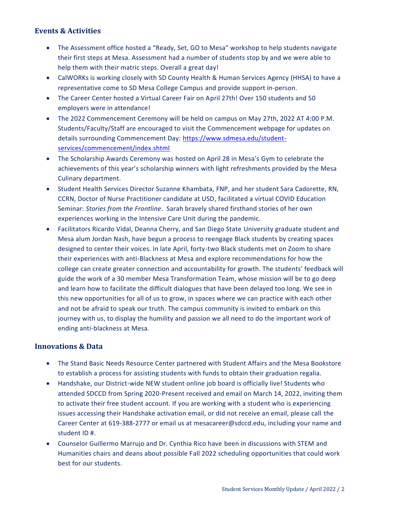### **Events & Activities**

- The Assessment office hosted a "Ready, Set, GO to Mesa" workshop to help students navigate their first steps at Mesa. Assessment had a number of students stop by and we were able to help them with their matric steps. Overall a great day!
- CalWORKs is working closely with SD County Health & Human Services Agency (HHSA) to have a representative come to SD Mesa College Campus and provide support in-person.
- The Career Center hosted a Virtual Career Fair on April 27th! Over 150 students and 50 employers were in attendance!
- The 2022 Commencement Ceremony will be held on campus on May 27th, 2022 AT 4:00 P.M. Students/Faculty/Staff are encouraged to visit the Commencement webpage for updates on details surrounding Commencement Day: [https://www.sdmesa.edu/student](https://www.sdmesa.edu/student-services/commencement/index.shtml)[services/commencement/index.shtml](https://www.sdmesa.edu/student-services/commencement/index.shtml)
- The Scholarship Awards Ceremony was hosted on April 28 in Mesa's Gym to celebrate the achievements of this year's scholarship winners with light refreshments provided by the Mesa Culinary department.
- Student Health Services Director Suzanne Khambata, FNP, and her student Sara Cadorette, RN, CCRN, Doctor of Nurse Practitioner candidate at USD, facilitated a virtual COVID Education Seminar: *Stories from the Frontline*. Sarah bravely shared firsthand stories of her own experiences working in the Intensive Care Unit during the pandemic.
- Facilitators Ricardo Vidal, Deanna Cherry, and San Diego State University graduate student and Mesa alum Jordan Nash, have begun a process to reengage Black students by creating spaces designed to center their voices. In late April, forty-two Black students met on Zoom to share their experiences with anti-Blackness at Mesa and explore recommendations for how the college can create greater connection and accountability for growth. The students' feedback will guide the work of a 30 member Mesa Transformation Team, whose mission will be to go deep and learn how to facilitate the difficult dialogues that have been delayed too long. We see in this new opportunities for all of us to grow, in spaces where we can practice with each other and not be afraid to speak our truth. The campus community is invited to embark on this journey with us, to display the humility and passion we all need to do the important work of ending anti-blackness at Mesa.

### **Innovations & Data**

- The Stand Basic Needs Resource Center partnered with Student Affairs and the Mesa Bookstore to establish a process for assisting students with funds to obtain their graduation regalia.
- Handshake, our District-wide NEW student online job board is officially live! Students who attended SDCCD from Spring 2020-Present received and email on March 14, 2022, inviting them to activate their free student account. If you are working with a student who is experiencing issues accessing their Handshake activation email, or did not receive an email, please call the Career Center at 619-388-2777 or email us at mesacareer@sdccd.edu, including your name and student ID #.
- Counselor Guillermo Marrujo and Dr. Cynthia Rico have been in discussions with STEM and Humanities chairs and deans about possible Fall 2022 scheduling opportunities that could work best for our students.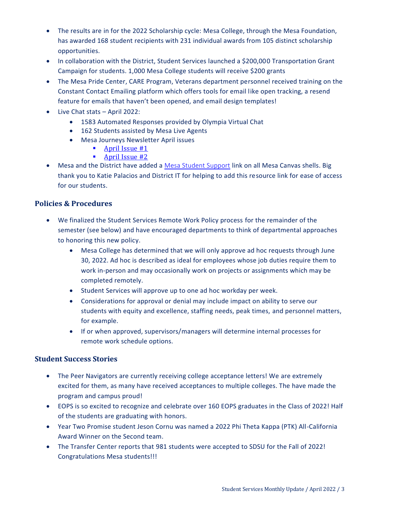- The results are in for the 2022 Scholarship cycle: Mesa College, through the Mesa Foundation, has awarded 168 student recipients with 231 individual awards from 105 distinct scholarship opportunities.
- In collaboration with the District, Student Services launched a \$200,000 Transportation Grant Campaign for students. 1,000 Mesa College students will receive \$200 grants
- The Mesa Pride Center, CARE Program, Veterans department personnel received training on the Constant Contact Emailing platform which offers tools for email like open tracking, a resend feature for emails that haven't been opened, and email design templates!
- Live Chat stats April 2022:
	- 1583 Automated Responses provided by Olympia Virtual Chat
	- 162 Students assisted by Mesa Live Agents
	- Mesa Journeys Newsletter April issues
		- **April [Issue #1](https://drive.google.com/file/d/12vUqTzg_f082IgXuQ42bGRHc5X7YKkzP/view?usp=sharing)**
		- **April [Issue #2](https://drive.google.com/file/d/1aes2xcc_DZlUwwTD4pj_juA8q2OoUCc6/view?usp=sharing)**
- Mesa and the District have added a [Mesa Student Support](https://www.sdmesa.edu/student-services/online-student-support-services.shtml) link on all Mesa Canvas shells. Big thank you to Katie Palacios and District IT for helping to add this resource link for ease of access for our students.

### **Policies & Procedures**

- We finalized the Student Services Remote Work Policy process for the remainder of the semester (see below) and have encouraged departments to think of departmental approaches to honoring this new policy.
	- Mesa College has determined that we will only approve ad hoc requests through June 30, 2022. Ad hoc is described as ideal for employees whose job duties require them to work in-person and may occasionally work on projects or assignments which may be completed remotely.
	- Student Services will approve up to one ad hoc workday per week.
	- Considerations for approval or denial may include impact on ability to serve our students with equity and excellence, staffing needs, peak times, and personnel matters, for example.
	- If or when approved, supervisors/managers will determine internal processes for remote work schedule options.

### **Student Success Stories**

- The Peer Navigators are currently receiving college acceptance letters! We are extremely excited for them, as many have received acceptances to multiple colleges. The have made the program and campus proud!
- EOPS is so excited to recognize and celebrate over 160 EOPS graduates in the Class of 2022! Half of the students are graduating with honors.
- Year Two Promise student Jeson Cornu was named a 2022 Phi Theta Kappa (PTK) All-California Award Winner on the Second team.
- The Transfer Center reports that 981 students were accepted to SDSU for the Fall of 2022! Congratulations Mesa students!!!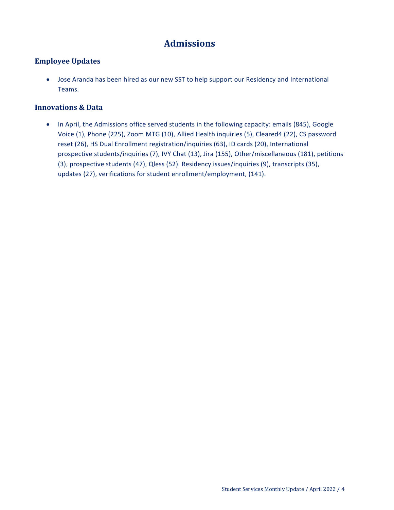# **Admissions**

### <span id="page-3-0"></span>**Employee Updates**

 Jose Aranda has been hired as our new SST to help support our Residency and International Teams.

### **Innovations & Data**

• In April, the Admissions office served students in the following capacity: emails (845), Google Voice (1), Phone (225), Zoom MTG (10), Allied Health inquiries (5), Cleared4 (22), CS password reset (26), HS Dual Enrollment registration/inquiries (63), ID cards (20), International prospective students/inquiries (7), IVY Chat (13), Jira (155), Other/miscellaneous (181), petitions (3), prospective students (47), Qless (52). Residency issues/inquiries (9), transcripts (35), updates (27), verifications for student enrollment/employment, (141).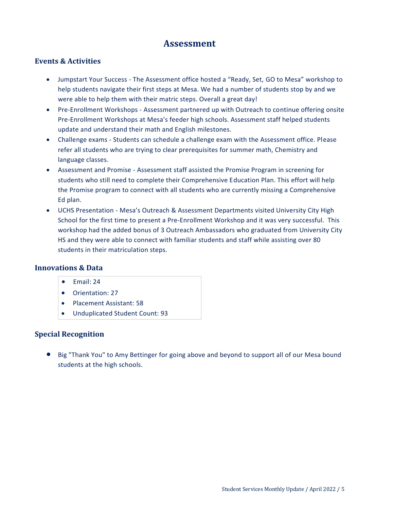### **Assessment**

### <span id="page-4-0"></span>**Events & Activities**

- Jumpstart Your Success The Assessment office hosted a "Ready, Set, GO to Mesa" workshop to help students navigate their first steps at Mesa. We had a number of students stop by and we were able to help them with their matric steps. Overall a great day!
- Pre-Enrollment Workshops Assessment partnered up with Outreach to continue offering onsite Pre-Enrollment Workshops at Mesa's feeder high schools. Assessment staff helped students update and understand their math and English milestones.
- Challenge exams Students can schedule a challenge exam with the Assessment office. Please refer all students who are trying to clear prerequisites for summer math, Chemistry and language classes.
- Assessment and Promise Assessment staff assisted the Promise Program in screening for students who still need to complete their Comprehensive Education Plan. This effort will help the Promise program to connect with all students who are currently missing a Comprehensive Ed plan.
- UCHS Presentation Mesa's Outreach & Assessment Departments visited University City High School for the first time to present a Pre-Enrollment Workshop and it was very successful. This workshop had the added bonus of 3 Outreach Ambassadors who graduated from University City HS and they were able to connect with familiar students and staff while assisting over 80 students in their matriculation steps.

### **Innovations & Data**

- $\bullet$  Fmail: 24
- Orientation: 27
- Placement Assistant: 58
- Unduplicated Student Count: 93

### **Special Recognition**

 Big "Thank You" to Amy Bettinger for going above and beyond to support all of our Mesa bound students at the high schools.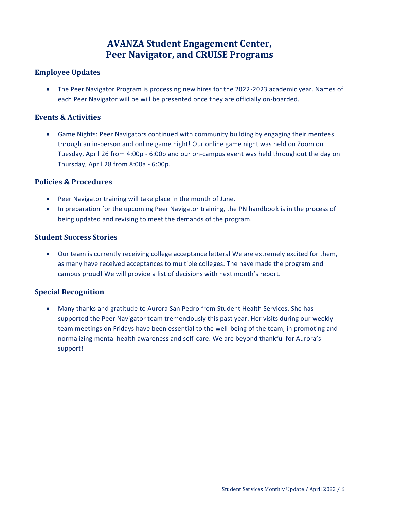# **AVANZA Student Engagement Center, Peer Navigator, and CRUISE Programs**

### <span id="page-5-1"></span><span id="page-5-0"></span>**Employee Updates**

 The Peer Navigator Program is processing new hires for the 2022-2023 academic year. Names of each Peer Navigator will be will be presented once they are officially on-boarded.

### **Events & Activities**

 Game Nights: Peer Navigators continued with community building by engaging their mentees through an in-person and online game night! Our online game night was held on Zoom on Tuesday, April 26 from 4:00p - 6:00p and our on-campus event was held throughout the day on Thursday, April 28 from 8:00a - 6:00p.

### **Policies & Procedures**

- Peer Navigator training will take place in the month of June.
- In preparation for the upcoming Peer Navigator training, the PN handbook is in the process of being updated and revising to meet the demands of the program.

### **Student Success Stories**

 Our team is currently receiving college acceptance letters! We are extremely excited for them, as many have received acceptances to multiple colleges. The have made the program and campus proud! We will provide a list of decisions with next month's report.

### **Special Recognition**

 Many thanks and gratitude to Aurora San Pedro from Student Health Services. She has supported the Peer Navigator team tremendously this past year. Her visits during our weekly team meetings on Fridays have been essential to the well-being of the team, in promoting and normalizing mental health awareness and self-care. We are beyond thankful for Aurora's support!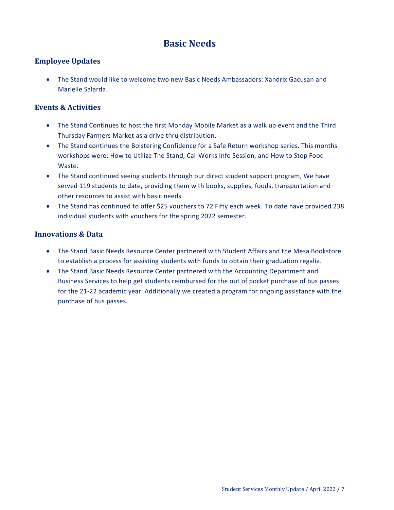# **Basic Needs**

### <span id="page-6-0"></span>**Employee Updates**

 The Stand would like to welcome two new Basic Needs Ambassadors: Xandrix Gacusan and Marielle Salarda.

### **Events & Activities**

- The Stand Continues to host the first Monday Mobile Market as a walk up event and the Third Thursday Farmers Market as a drive thru distribution.
- The Stand continues the Bolstering Confidence for a Safe Return workshop series. This months workshops were: How to Utilize The Stand, Cal-Works Info Session, and How to Stop Food Waste.
- The Stand continued seeing students through our direct student support program, We have served 119 students to date, providing them with books, supplies, foods, transportation and other resources to assist with basic needs.
- The Stand has continued to offer \$25 vouchers to 72 Fifty each week. To date have provided 238 individual students with vouchers for the spring 2022 semester.

### **Innovations & Data**

- The Stand Basic Needs Resource Center partnered with Student Affairs and the Mesa Bookstore to establish a process for assisting students with funds to obtain their graduation regalia.
- The Stand Basic Needs Resource Center partnered with the Accounting Department and Business Services to help get students reimbursed for the out of pocket purchase of bus passes for the 21-22 academic year. Additionally we created a program for ongoing assistance with the purchase of bus passes.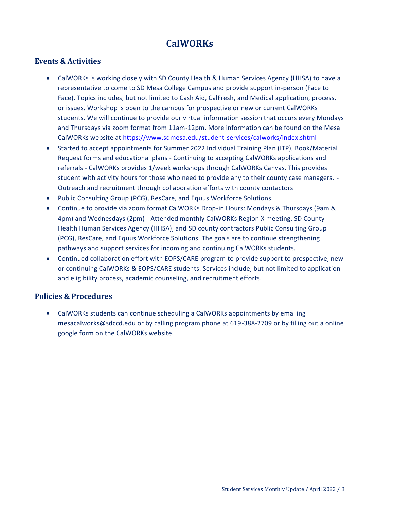# **CalWORKs**

### <span id="page-7-0"></span>**Events & Activities**

- CalWORKs is working closely with SD County Health & Human Services Agency (HHSA) to have a representative to come to SD Mesa College Campus and provide support in-person (Face to Face). Topics includes, but not limited to Cash Aid, CalFresh, and Medical application, process, or issues. Workshop is open to the campus for prospective or new or current CalWORKs students. We will continue to provide our virtual information session that occurs every Mondays and Thursdays via zoom format from 11am-12pm. More information can be found on the Mesa CalWORKs website at<https://www.sdmesa.edu/student-services/calworks/index.shtml>
- Started to accept appointments for Summer 2022 Individual Training Plan (ITP), Book/Material Request forms and educational plans - Continuing to accepting CalWORKs applications and referrals - CalWORKs provides 1/week workshops through CalWORKs Canvas. This provides student with activity hours for those who need to provide any to their county case managers. - Outreach and recruitment through collaboration efforts with county contactors
- Public Consulting Group (PCG), ResCare, and Equus Workforce Solutions.
- Continue to provide via zoom format CalWORKs Drop-in Hours: Mondays & Thursdays (9am & 4pm) and Wednesdays (2pm) - Attended monthly CalWORKs Region X meeting. SD County Health Human Services Agency (HHSA), and SD county contractors Public Consulting Group (PCG), ResCare, and Equus Workforce Solutions. The goals are to continue strengthening pathways and support services for incoming and continuing CalWORKs students.
- Continued collaboration effort with EOPS/CARE program to provide support to prospective, new or continuing CalWORKs & EOPS/CARE students. Services include, but not limited to application and eligibility process, academic counseling, and recruitment efforts.

### **Policies & Procedures**

 CalWORKs students can continue scheduling a CalWORKs appointments by emailing mesacalworks@sdccd.edu or by calling program phone at 619-388-2709 or by filling out a online google form on the CalWORKs website.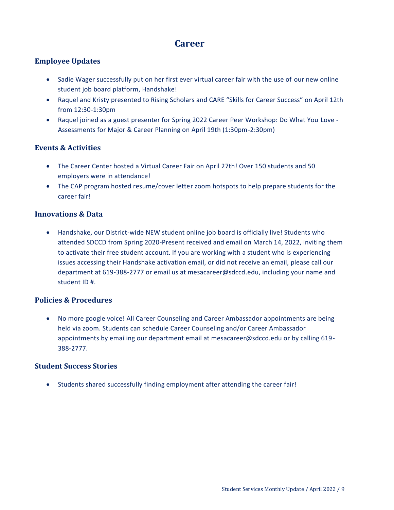### **Career**

### <span id="page-8-0"></span>**Employee Updates**

- Sadie Wager successfully put on her first ever virtual career fair with the use of our new online student job board platform, Handshake!
- Raquel and Kristy presented to Rising Scholars and CARE "Skills for Career Success" on April 12th from 12:30-1:30pm
- Raquel joined as a guest presenter for Spring 2022 Career Peer Workshop: Do What You Love Assessments for Major & Career Planning on April 19th (1:30pm-2:30pm)

### **Events & Activities**

- The Career Center hosted a Virtual Career Fair on April 27th! Over 150 students and 50 employers were in attendance!
- The CAP program hosted resume/cover letter zoom hotspots to help prepare students for the career fair!

### **Innovations & Data**

• Handshake, our District-wide NEW student online job board is officially live! Students who attended SDCCD from Spring 2020-Present received and email on March 14, 2022, inviting them to activate their free student account. If you are working with a student who is experiencing issues accessing their Handshake activation email, or did not receive an email, please call our department at 619-388-2777 or email us at mesacareer@sdccd.edu, including your name and student ID #.

### **Policies & Procedures**

 No more google voice! All Career Counseling and Career Ambassador appointments are being held via zoom. Students can schedule Career Counseling and/or Career Ambassador appointments by emailing our department email at mesacareer@sdccd.edu or by calling 619- 388-2777.

### **Student Success Stories**

• Students shared successfully finding employment after attending the career fair!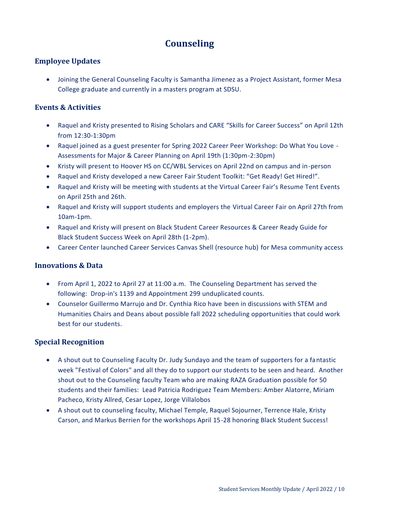# **Counseling**

### <span id="page-9-0"></span>**Employee Updates**

 Joining the General Counseling Faculty is Samantha Jimenez as a Project Assistant, former Mesa College graduate and currently in a masters program at SDSU.

### **Events & Activities**

- Raquel and Kristy presented to Rising Scholars and CARE "Skills for Career Success" on April 12th from 12:30-1:30pm
- Raquel joined as a guest presenter for Spring 2022 Career Peer Workshop: Do What You Love Assessments for Major & Career Planning on April 19th (1:30pm-2:30pm)
- Kristy will present to Hoover HS on CC/WBL Services on April 22nd on campus and in-person
- Raquel and Kristy developed a new Career Fair Student Toolkit: "Get Ready! Get Hired!".
- Raquel and Kristy will be meeting with students at the Virtual Career Fair's Resume Tent Events on April 25th and 26th.
- Raquel and Kristy will support students and employers the Virtual Career Fair on April 27th from 10am-1pm.
- Raquel and Kristy will present on Black Student Career Resources & Career Ready Guide for Black Student Success Week on April 28th (1-2pm).
- Career Center launched Career Services Canvas Shell (resource hub) for Mesa community access

### **Innovations & Data**

- From April 1, 2022 to April 27 at 11:00 a.m. The Counseling Department has served the following: Drop-in's 1139 and Appointment 299 unduplicated counts.
- Counselor Guillermo Marrujo and Dr. Cynthia Rico have been in discussions with STEM and Humanities Chairs and Deans about possible fall 2022 scheduling opportunities that could work best for our students.

### **Special Recognition**

- A shout out to Counseling Faculty Dr. Judy Sundayo and the team of supporters for a fantastic week "Festival of Colors" and all they do to support our students to be seen and heard. Another shout out to the Counseling faculty Team who are making RAZA Graduation possible for 50 students and their families: Lead Patricia Rodriguez Team Members: Amber Alatorre, Miriam Pacheco, Kristy Allred, Cesar Lopez, Jorge Villalobos
- A shout out to counseling faculty, Michael Temple, Raquel Sojourner, Terrence Hale, Kristy Carson, and Markus Berrien for the workshops April 15-28 honoring Black Student Success!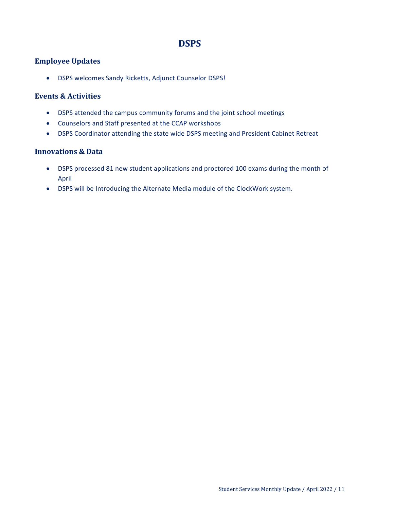# **DSPS**

### <span id="page-10-0"></span>**Employee Updates**

DSPS welcomes Sandy Ricketts, Adjunct Counselor DSPS!

### **Events & Activities**

- DSPS attended the campus community forums and the joint school meetings
- Counselors and Staff presented at the CCAP workshops
- DSPS Coordinator attending the state wide DSPS meeting and President Cabinet Retreat

### **Innovations & Data**

- DSPS processed 81 new student applications and proctored 100 exams during the month of April
- DSPS will be Introducing the Alternate Media module of the ClockWork system.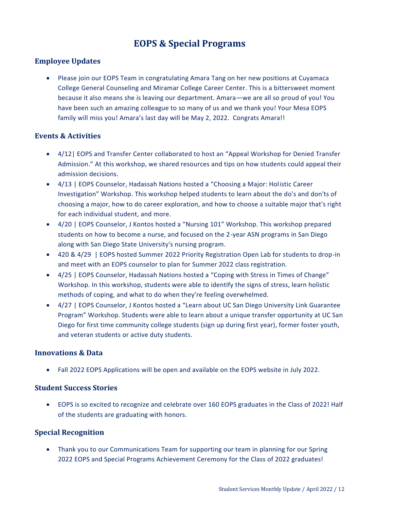# **EOPS & Special Programs**

### <span id="page-11-0"></span>**Employee Updates**

 Please join our EOPS Team in congratulating Amara Tang on her new positions at Cuyamaca College General Counseling and Miramar College Career Center. This is a bittersweet moment because it also means she is leaving our department. Amara—we are all so proud of you! You have been such an amazing colleague to so many of us and we thank you! Your Mesa EOPS family will miss you! Amara's last day will be May 2, 2022. Congrats Amara!!

### **Events & Activities**

- 4/12| EOPS and Transfer Center collaborated to host an "Appeal Workshop for Denied Transfer Admission." At this workshop, we shared resources and tips on how students could appeal their admission decisions.
- 4/13 | EOPS Counselor, Hadassah Nations hosted a "Choosing a Major: Holistic Career Investigation" Workshop. This workshop helped students to learn about the do's and don'ts of choosing a major, how to do career exploration, and how to choose a suitable major that's right for each individual student, and more.
- 4/20 | EOPS Counselor, J Kontos hosted a "Nursing 101" Workshop. This workshop prepared students on how to become a nurse, and focused on the 2-year ASN programs in San Diego along with San Diego State University's nursing program.
- 420 & 4/29 | EOPS hosted Summer 2022 Priority Registration Open Lab for students to drop-in and meet with an EOPS counselor to plan for Summer 2022 class registration.
- 4/25 | EOPS Counselor, Hadassah Nations hosted a "Coping with Stress in Times of Change" Workshop. In this workshop, students were able to identify the signs of stress, learn holistic methods of coping, and what to do when they're feeling overwhelmed.
- 4/27 | EOPS Counselor, J Kontos hosted a "Learn about UC San Diego University Link Guarantee Program" Workshop. Students were able to learn about a unique transfer opportunity at UC San Diego for first time community college students (sign up during first year), former foster youth, and veteran students or active duty students.

### **Innovations & Data**

Fall 2022 EOPS Applications will be open and available on the EOPS website in July 2022.

### **Student Success Stories**

 EOPS is so excited to recognize and celebrate over 160 EOPS graduates in the Class of 2022! Half of the students are graduating with honors.

### **Special Recognition**

 Thank you to our Communications Team for supporting our team in planning for our Spring 2022 EOPS and Special Programs Achievement Ceremony for the Class of 2022 graduates!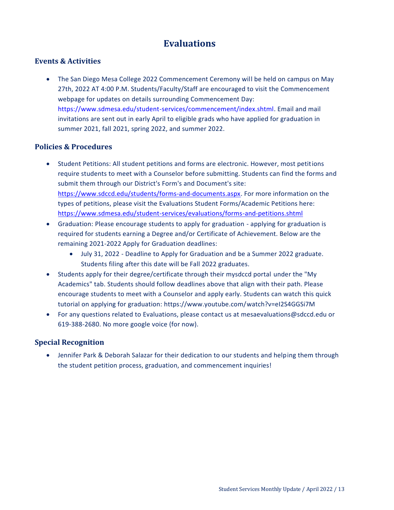# **Evaluations**

### <span id="page-12-0"></span>**Events & Activities**

 The San Diego Mesa College 2022 Commencement Ceremony will be held on campus on May 27th, 2022 AT 4:00 P.M. Students/Faculty/Staff are encouraged to visit the Commencement webpage for updates on details surrounding Commencement Day: https://www.sdmesa.edu/student-services/commencement/index.shtml. Email and mail invitations are sent out in early April to eligible grads who have applied for graduation in summer 2021, fall 2021, spring 2022, and summer 2022.

### **Policies & Procedures**

- Student Petitions: All student petitions and forms are electronic. However, most petitions require students to meet with a Counselor before submitting. Students can find the forms and submit them through our District's Form's and Document's site: [https://www.sdccd.edu/students/forms-and-documents.aspx.](https://www.sdccd.edu/students/forms-and-documents.aspx) For more information on the types of petitions, please visit the Evaluations Student Forms/Academic Petitions here: <https://www.sdmesa.edu/student-services/evaluations/forms-and-petitions.shtml>
- Graduation: Please encourage students to apply for graduation applying for graduation is required for students earning a Degree and/or Certificate of Achievement. Below are the remaining 2021-2022 Apply for Graduation deadlines:
	- July 31, 2022 Deadline to Apply for Graduation and be a Summer 2022 graduate. Students filing after this date will be Fall 2022 graduates.
- Students apply for their degree/certificate through their mysdccd portal under the "My Academics" tab. Students should follow deadlines above that align with their path. Please encourage students to meet with a Counselor and apply early. Students can watch this quick tutorial on applying for graduation: https://www.youtube.com/watch?v=eI2S4GGSi7M
- For any questions related to Evaluations, please contact us at mesaevaluations@sdccd.edu or 619-388-2680. No more google voice (for now).

### **Special Recognition**

 Jennifer Park & Deborah Salazar for their dedication to our students and helping them through the student petition process, graduation, and commencement inquiries!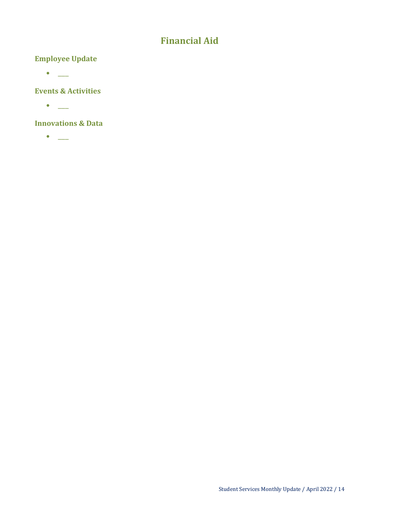# **Financial Aid**

### <span id="page-13-0"></span>**Employee Update**

 $\bullet$   $\_\_$ 

### **Events & Activities**

 $\bullet$ 

### **Innovations & Data**

 $\bullet$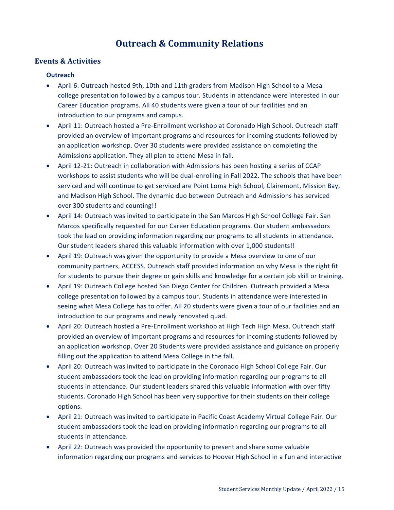# **Outreach & Community Relations**

### <span id="page-14-0"></span>**Events & Activities**

### **Outreach**

- April 6: Outreach hosted 9th, 10th and 11th graders from Madison High School to a Mesa college presentation followed by a campus tour. Students in attendance were interested in our Career Education programs. All 40 students were given a tour of our facilities and an introduction to our programs and campus.
- April 11: Outreach hosted a Pre-Enrollment workshop at Coronado High School. Outreach staff provided an overview of important programs and resources for incoming students followed by an application workshop. Over 30 students were provided assistance on completing the Admissions application. They all plan to attend Mesa in fall.
- April 12-21: Outreach in collaboration with Admissions has been hosting a series of CCAP workshops to assist students who will be dual-enrolling in Fall 2022. The schools that have been serviced and will continue to get serviced are Point Loma High School, Clairemont, Mission Bay, and Madison High School. The dynamic duo between Outreach and Admissions has serviced over 300 students and counting!!
- April 14: Outreach was invited to participate in the San Marcos High School College Fair. San Marcos specifically requested for our Career Education programs. Our student ambassadors took the lead on providing information regarding our programs to all students in attendance. Our student leaders shared this valuable information with over 1,000 students!!
- April 19: Outreach was given the opportunity to provide a Mesa overview to one of our community partners, ACCESS. Outreach staff provided information on why Mesa is the right fit for students to pursue their degree or gain skills and knowledge for a certain job skill or training.
- April 19: Outreach College hosted San Diego Center for Children. Outreach provided a Mesa college presentation followed by a campus tour. Students in attendance were interested in seeing what Mesa College has to offer. All 20 students were given a tour of our facilities and an introduction to our programs and newly renovated quad.
- April 20: Outreach hosted a Pre-Enrollment workshop at High Tech High Mesa. Outreach staff provided an overview of important programs and resources for incoming students followed by an application workshop. Over 20 Students were provided assistance and guidance on properly filling out the application to attend Mesa College in the fall.
- April 20: Outreach was invited to participate in the Coronado High School College Fair. Our student ambassadors took the lead on providing information regarding our programs to all students in attendance. Our student leaders shared this valuable information with over fifty students. Coronado High School has been very supportive for their students on their college options.
- April 21: Outreach was invited to participate in Pacific Coast Academy Virtual College Fair. Our student ambassadors took the lead on providing information regarding our programs to all students in attendance.
- April 22: Outreach was provided the opportunity to present and share some valuable information regarding our programs and services to Hoover High School in a fun and interactive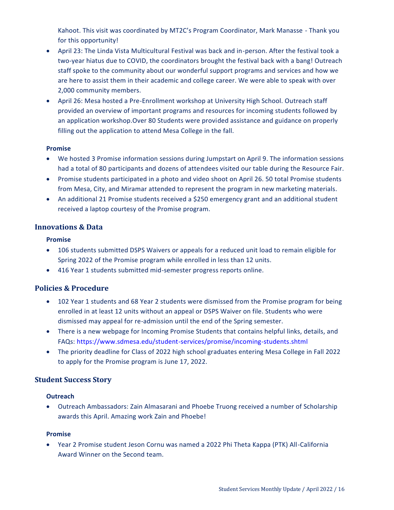Kahoot. This visit was coordinated by MT2C's Program Coordinator, Mark Manasse - Thank you for this opportunity!

- April 23: The Linda Vista Multicultural Festival was back and in-person. After the festival took a two-year hiatus due to COVID, the coordinators brought the festival back with a bang! Outreach staff spoke to the community about our wonderful support programs and services and how we are here to assist them in their academic and college career. We were able to speak with over 2,000 community members.
- April 26: Mesa hosted a Pre-Enrollment workshop at University High School. Outreach staff provided an overview of important programs and resources for incoming students followed by an application workshop.Over 80 Students were provided assistance and guidance on properly filling out the application to attend Mesa College in the fall.

### **Promise**

- We hosted 3 Promise information sessions during Jumpstart on April 9. The information sessions had a total of 80 participants and dozens of attendees visited our table during the Resource Fair.
- Promise students participated in a photo and video shoot on April 26. 50 total Promise students from Mesa, City, and Miramar attended to represent the program in new marketing materials.
- An additional 21 Promise students received a \$250 emergency grant and an additional student received a laptop courtesy of the Promise program.

### **Innovations & Data**

### **Promise**

- 106 students submitted DSPS Waivers or appeals for a reduced unit load to remain eligible for Spring 2022 of the Promise program while enrolled in less than 12 units.
- 416 Year 1 students submitted mid-semester progress reports online.

### **Policies & Procedure**

- 102 Year 1 students and 68 Year 2 students were dismissed from the Promise program for being enrolled in at least 12 units without an appeal or DSPS Waiver on file. Students who were dismissed may appeal for re-admission until the end of the Spring semester.
- There is a new webpage for Incoming Promise Students that contains helpful links, details, and FAQs: https://www.sdmesa.edu/student-services/promise/incoming-students.shtml
- The priority deadline for Class of 2022 high school graduates entering Mesa College in Fall 2022 to apply for the Promise program is June 17, 2022.

### **Student Success Story**

#### **Outreach**

 Outreach Ambassadors: Zain Almasarani and Phoebe Truong received a number of Scholarship awards this April. Amazing work Zain and Phoebe!

#### **Promise**

 Year 2 Promise student Jeson Cornu was named a 2022 Phi Theta Kappa (PTK) All-California Award Winner on the Second team.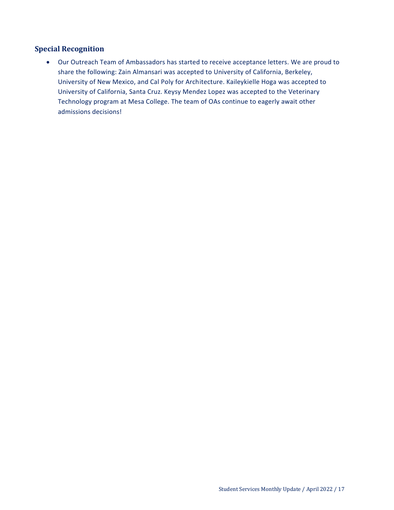### **Special Recognition**

 Our Outreach Team of Ambassadors has started to receive acceptance letters. We are proud to share the following: Zain Almansari was accepted to University of California, Berkeley, University of New Mexico, and Cal Poly for Architecture. Kaileykielle Hoga was accepted to University of California, Santa Cruz. Keysy Mendez Lopez was accepted to the Veterinary Technology program at Mesa College. The team of OAs continue to eagerly await other admissions decisions!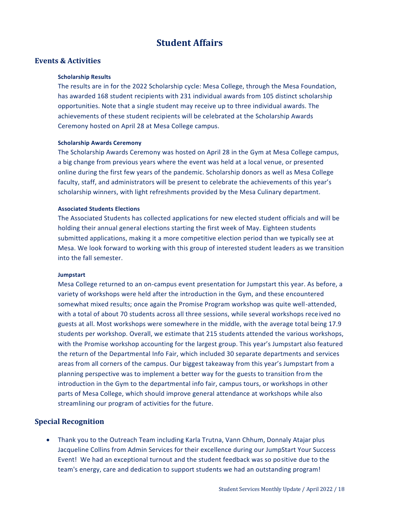## **Student Affairs**

### <span id="page-17-0"></span>**Events & Activities**

#### **Scholarship Results**

The results are in for the 2022 Scholarship cycle: Mesa College, through the Mesa Foundation, has awarded 168 student recipients with 231 individual awards from 105 distinct scholarship opportunities. Note that a single student may receive up to three individual awards. The achievements of these student recipients will be celebrated at the Scholarship Awards Ceremony hosted on April 28 at Mesa College campus.

#### **Scholarship Awards Ceremony**

The Scholarship Awards Ceremony was hosted on April 28 in the Gym at Mesa College campus, a big change from previous years where the event was held at a local venue, or presented online during the first few years of the pandemic. Scholarship donors as well as Mesa College faculty, staff, and administrators will be present to celebrate the achievements of this year's scholarship winners, with light refreshments provided by the Mesa Culinary department.

#### **Associated Students Elections**

The Associated Students has collected applications for new elected student officials and will be holding their annual general elections starting the first week of May. Eighteen students submitted applications, making it a more competitive election period than we typically see at Mesa. We look forward to working with this group of interested student leaders as we transition into the fall semester.

### **Jumpstart**

Mesa College returned to an on-campus event presentation for Jumpstart this year. As before, a variety of workshops were held after the introduction in the Gym, and these encountered somewhat mixed results; once again the Promise Program workshop was quite well-attended, with a total of about 70 students across all three sessions, while several workshops received no guests at all. Most workshops were somewhere in the middle, with the average total being 17.9 students per workshop. Overall, we estimate that 215 students attended the various workshops, with the Promise workshop accounting for the largest group. This year's Jumpstart also featured the return of the Departmental Info Fair, which included 30 separate departments and services areas from all corners of the campus. Our biggest takeaway from this year's Jumpstart from a planning perspective was to implement a better way for the guests to transition from the introduction in the Gym to the departmental info fair, campus tours, or workshops in other parts of Mesa College, which should improve general attendance at workshops while also streamlining our program of activities for the future.

### **Special Recognition**

 Thank you to the Outreach Team including Karla Trutna, Vann Chhum, Donnaly Atajar plus Jacqueline Collins from Admin Services for their excellence during our JumpStart Your Success Event! We had an exceptional turnout and the student feedback was so positive due to the team's energy, care and dedication to support students we had an outstanding program!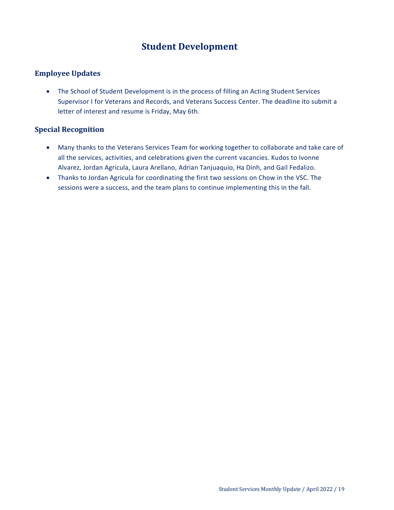# **Student Development**

### <span id="page-18-0"></span>**Employee Updates**

 The School of Student Development is in the process of filling an Acting Student Services Supervisor I for Veterans and Records, and Veterans Success Center. The deadline ito submit a letter of interest and resume is Friday, May 6th.

### **Special Recognition**

- Many thanks to the Veterans Services Team for working together to collaborate and take care of all the services, activities, and celebrations given the current vacancies. Kudos to Ivonne Alvarez, Jordan Agricula, Laura Arellano, Adrian Tanjuaquio, Ha Dinh, and Gail Fedalizo.
- Thanks to Jordan Agricula for coordinating the first two sessions on Chow in the VSC. The sessions were a success, and the team plans to continue implementing this in the fall.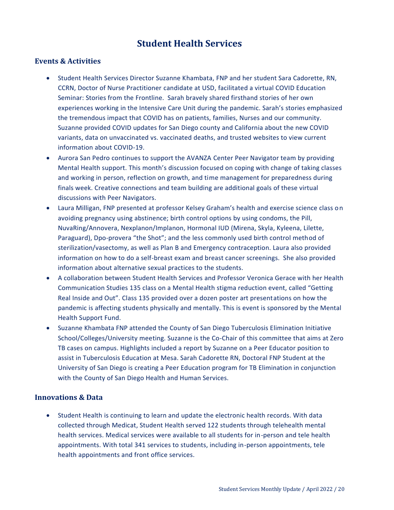# **Student Health Services**

### <span id="page-19-0"></span>**Events & Activities**

- Student Health Services Director Suzanne Khambata, FNP and her student Sara Cadorette, RN, CCRN, Doctor of Nurse Practitioner candidate at USD, facilitated a virtual COVID Education Seminar: Stories from the Frontline. Sarah bravely shared firsthand stories of her own experiences working in the Intensive Care Unit during the pandemic. Sarah's stories emphasized the tremendous impact that COVID has on patients, families, Nurses and our community. Suzanne provided COVID updates for San Diego county and California about the new COVID variants, data on unvaccinated vs. vaccinated deaths, and trusted websites to view current information about COVID-19.
- Aurora San Pedro continues to support the AVANZA Center Peer Navigator team by providing Mental Health support. This month's discussion focused on coping with change of taking classes and working in person, reflection on growth, and time management for preparedness during finals week. Creative connections and team building are additional goals of these virtual discussions with Peer Navigators.
- Laura Milligan, FNP presented at professor Kelsey Graham's health and exercise science class on avoiding pregnancy using abstinence; birth control options by using condoms, the Pill, NuvaRing/Annovera, Nexplanon/Implanon, Hormonal IUD (Mirena, Skyla, Kyleena, Lilette, Paraguard), Dpo-provera "the Shot"; and the less commonly used birth control method of sterilization/vasectomy, as well as Plan B and Emergency contraception. Laura also provided information on how to do a self-breast exam and breast cancer screenings. She also provided information about alternative sexual practices to the students.
- A collaboration between Student Health Services and Professor Veronica Gerace with her Health Communication Studies 135 class on a Mental Health stigma reduction event, called "Getting Real Inside and Out". Class 135 provided over a dozen poster art presentations on how the pandemic is affecting students physically and mentally. This is event is sponsored by the Mental Health Support Fund.
- Suzanne Khambata FNP attended the County of San Diego Tuberculosis Elimination Initiative School/Colleges/University meeting. Suzanne is the Co-Chair of this committee that aims at Zero TB cases on campus. Highlights included a report by Suzanne on a Peer Educator position to assist in Tuberculosis Education at Mesa. Sarah Cadorette RN, Doctoral FNP Student at the University of San Diego is creating a Peer Education program for TB Elimination in conjunction with the County of San Diego Health and Human Services.

### **Innovations & Data**

 Student Health is continuing to learn and update the electronic health records. With data collected through Medicat, Student Health served 122 students through telehealth mental health services. Medical services were available to all students for in-person and tele health appointments. With total 341 services to students, including in-person appointments, tele health appointments and front office services.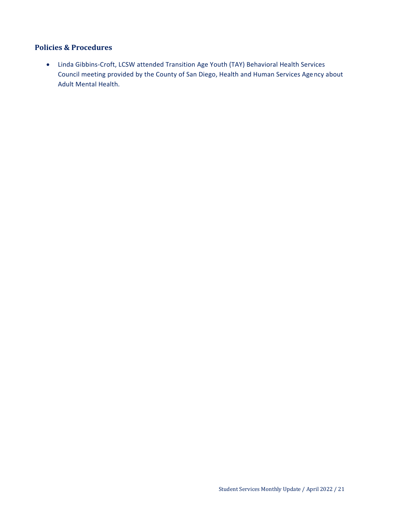### **Policies & Procedures**

 Linda Gibbins-Croft, LCSW attended Transition Age Youth (TAY) Behavioral Health Services Council meeting provided by the County of San Diego, Health and Human Services Agency about Adult Mental Health.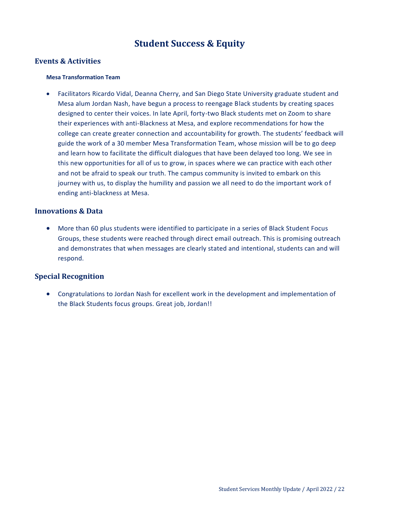# **Student Success & Equity**

### <span id="page-21-0"></span>**Events & Activities**

#### **Mesa Transformation Team**

 Facilitators Ricardo Vidal, Deanna Cherry, and San Diego State University graduate student and Mesa alum Jordan Nash, have begun a process to reengage Black students by creating spaces designed to center their voices. In late April, forty-two Black students met on Zoom to share their experiences with anti-Blackness at Mesa, and explore recommendations for how the college can create greater connection and accountability for growth. The students' feedback will guide the work of a 30 member Mesa Transformation Team, whose mission will be to go deep and learn how to facilitate the difficult dialogues that have been delayed too long. We see in this new opportunities for all of us to grow, in spaces where we can practice with each other and not be afraid to speak our truth. The campus community is invited to embark on this journey with us, to display the humility and passion we all need to do the important work of ending anti-blackness at Mesa.

### **Innovations & Data**

 More than 60 plus students were identified to participate in a series of Black Student Focus Groups, these students were reached through direct email outreach. This is promising outreach and demonstrates that when messages are clearly stated and intentional, students can and will respond.

### **Special Recognition**

 Congratulations to Jordan Nash for excellent work in the development and implementation of the Black Students focus groups. Great job, Jordan!!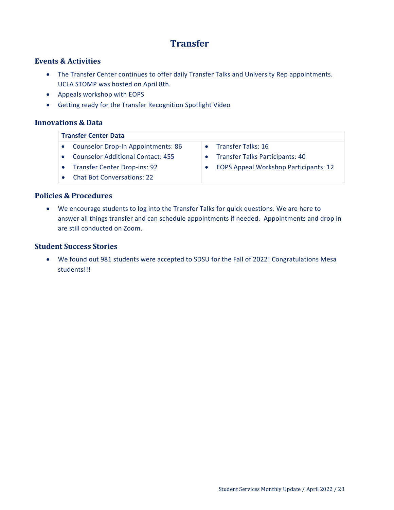# **Transfer**

### <span id="page-22-0"></span>**Events & Activities**

- The Transfer Center continues to offer daily Transfer Talks and University Rep appointments. UCLA STOMP was hosted on April 8th.
- Appeals workshop with EOPS
- Getting ready for the Transfer Recognition Spotlight Video

### **Innovations & Data**

| <b>Transfer Center Data</b>               |                                              |  |  |  |
|-------------------------------------------|----------------------------------------------|--|--|--|
| <b>Counselor Drop-In Appointments: 86</b> | Transfer Talks: 16                           |  |  |  |
| <b>Counselor Additional Contact: 455</b>  | • Transfer Talks Participants: 40            |  |  |  |
| <b>Transfer Center Drop-ins: 92</b>       | <b>EOPS Appeal Workshop Participants: 12</b> |  |  |  |
| <b>Chat Bot Conversations: 22</b>         |                                              |  |  |  |

### **Policies & Procedures**

 We encourage students to log into the Transfer Talks for quick questions. We are here to answer all things transfer and can schedule appointments if needed. Appointments and drop in are still conducted on Zoom.

### **Student Success Stories**

 We found out 981 students were accepted to SDSU for the Fall of 2022! Congratulations Mesa students!!!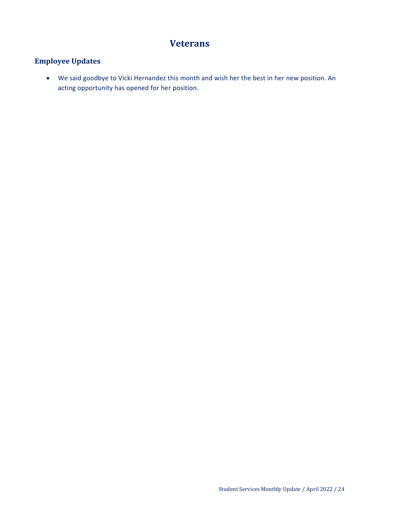# **Veterans**

### <span id="page-23-0"></span>**Employee Updates**

 We said goodbye to Vicki Hernandez this month and wish her the best in her new position. An acting opportunity has opened for her position.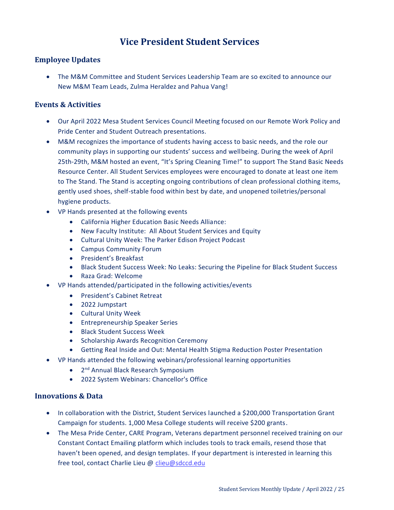# **Vice President Student Services**

### <span id="page-24-0"></span>**Employee Updates**

 The M&M Committee and Student Services Leadership Team are so excited to announce our New M&M Team Leads, Zulma Heraldez and Pahua Vang!

### **Events & Activities**

- Our April 2022 Mesa Student Services Council Meeting focused on our Remote Work Policy and Pride Center and Student Outreach presentations.
- M&M recognizes the importance of students having access to basic needs, and the role our community plays in supporting our students' success and wellbeing. During the week of April 25th-29th, M&M hosted an event, "It's Spring Cleaning Time!" to support The Stand Basic Needs Resource Center. All Student Services employees were encouraged to donate at least one item to The Stand. The Stand is accepting ongoing contributions of clean professional clothing items, gently used shoes, shelf-stable food within best by date, and unopened toiletries/personal hygiene products.
- VP Hands presented at the following events
	- California Higher Education Basic Needs Alliance:
	- New Faculty Institute: All About Student Services and Equity
	- Cultural Unity Week: The Parker Edison Project Podcast
	- Campus Community Forum
	- President's Breakfast
	- Black Student Success Week: No Leaks: Securing the Pipeline for Black Student Success
	- Raza Grad: Welcome
- VP Hands attended/participated in the following activities/events
	- **•** President's Cabinet Retreat
	- 2022 Jumpstart
	- **•** Cultural Unity Week
	- **•** Entrepreneurship Speaker Series
	- Black Student Success Week
	- Scholarship Awards Recognition Ceremony
	- Getting Real Inside and Out: Mental Health Stigma Reduction Poster Presentation
- VP Hands attended the following webinars/professional learning opportunities
	- 2<sup>nd</sup> Annual Black Research Symposium
	- 2022 System Webinars: Chancellor's Office

### **Innovations & Data**

- In collaboration with the District, Student Services launched a \$200,000 Transportation Grant Campaign for students. 1,000 Mesa College students will receive \$200 grants.
- The Mesa Pride Center, CARE Program, Veterans department personnel received training on our Constant Contact Emailing platform which includes tools to track emails, resend those that haven't been opened, and design templates. If your department is interested in learning this free tool, contact Charlie Lieu @ [clieu@sdccd.edu](mailto:clieu@sdccd.edu)